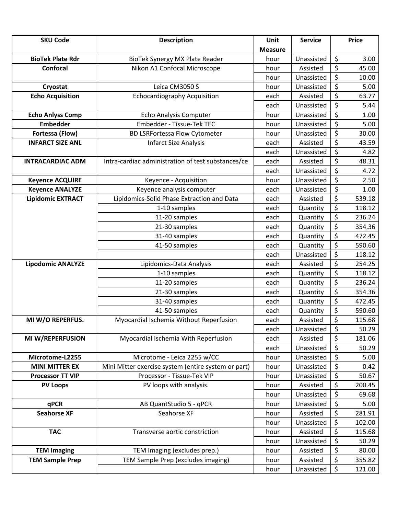| <b>SKU Code</b>          | <b>Description</b>                                  | Unit           | <b>Service</b> |                          | <b>Price</b> |
|--------------------------|-----------------------------------------------------|----------------|----------------|--------------------------|--------------|
|                          |                                                     | <b>Measure</b> |                |                          |              |
| <b>BioTek Plate Rdr</b>  | BioTek Synergy MX Plate Reader                      | hour           | Unassisted     | \$                       | 3.00         |
| Confocal                 | Nikon A1 Confocal Microscope                        | hour           | Assisted       | \$                       | 45.00        |
|                          |                                                     | hour           | Unassisted     | \$                       | 10.00        |
| Cryostat                 | Leica CM3050 S                                      | hour           | Unassisted     | \$                       | 5.00         |
| <b>Echo Acquisition</b>  | <b>Echocardiography Acquisition</b>                 | each           | Assisted       | \$                       | 63.77        |
|                          |                                                     | each           | Unassisted     | \$                       | 5.44         |
| <b>Echo Anlyss Comp</b>  | Echo Analysis Computer                              | hour           | Unassisted     | $\overline{\mathcal{S}}$ | 1.00         |
| <b>Embedder</b>          | Embedder - Tissue-Tek TEC                           | hour           | Unassisted     | $\overline{\xi}$         | 5.00         |
| Fortessa (Flow)          | <b>BD LSRFortessa Flow Cytometer</b>                | hour           | Unassisted     | \$                       | 30.00        |
| <b>INFARCT SIZE ANL</b>  | <b>Infarct Size Analysis</b>                        | each           | Assisted       | $\overline{\xi}$         | 43.59        |
|                          |                                                     | each           | Unassisted     | $\overline{\varsigma}$   | 4.82         |
| <b>INTRACARDIAC ADM</b>  | Intra-cardiac administration of test substances/ce  | each           | Assisted       | \$                       | 48.31        |
|                          |                                                     | each           | Unassisted     | \$                       | 4.72         |
| <b>Keyence ACQUIRE</b>   | Keyence - Acquisition                               | hour           | Unassisted     | \$                       | 2.50         |
| <b>Keyence ANALYZE</b>   | Keyence analysis computer                           | each           | Unassisted     | $\overline{\xi}$         | 1.00         |
| <b>Lipidomic EXTRACT</b> | Lipidomics-Solid Phase Extraction and Data          | each           | Assisted       | $\overline{\xi}$         | 539.18       |
|                          | 1-10 samples                                        | each           | Quantity       | \$                       | 118.12       |
|                          | 11-20 samples                                       | each           | Quantity       | \$                       | 236.24       |
|                          | 21-30 samples                                       | each           | Quantity       | \$                       | 354.36       |
|                          | 31-40 samples                                       | each           | Quantity       | $\overline{\xi}$         | 472.45       |
|                          | 41-50 samples                                       | each           | Quantity       | $\overline{\xi}$         | 590.60       |
|                          |                                                     | each           | Unassisted     | \$                       | 118.12       |
| <b>Lipodomic ANALYZE</b> | Lipidomics-Data Analysis                            | each           | Assisted       | $\overline{\xi}$         | 254.25       |
|                          | 1-10 samples                                        | each           | Quantity       | $\overline{\xi}$         | 118.12       |
|                          | 11-20 samples                                       | each           | Quantity       | \$                       | 236.24       |
|                          | 21-30 samples                                       | each           | Quantity       | $\overline{\xi}$         | 354.36       |
|                          | 31-40 samples                                       | each           | Quantity       | \$                       | 472.45       |
|                          | 41-50 samples                                       | each           | Quantity       | \$                       | 590.60       |
| MI W/O REPERFUS.         | Myocardial Ischemia Without Reperfusion             | each           | Assisted       | \$                       | 115.68       |
|                          |                                                     | each           | Unassisted     | \$                       | 50.29        |
| MI W/REPERFUSION         | Myocardial Ischemia With Reperfusion                | each           | Assisted       | \$                       | 181.06       |
|                          |                                                     | each           | Unassisted     | \$                       | 50.29        |
| Microtome-L2255          | Microtome - Leica 2255 w/CC                         | hour           | Unassisted     | \$                       | 5.00         |
| <b>MINI MITTER EX</b>    | Mini Mitter exercise system (entire system or part) | hour           | Unassisted     | \$                       | 0.42         |
| <b>Processor TT VIP</b>  | Processor - Tissue-Tek VIP                          | hour           | Unassisted     | \$                       | 50.67        |
| <b>PV Loops</b>          | PV loops with analysis.                             | hour           | Assisted       | \$                       | 200.45       |
|                          |                                                     | hour           | Unassisted     | \$                       | 69.68        |
| qPCR                     | AB QuantStudio 5 - qPCR                             | hour           | Unassisted     | \$                       | 5.00         |
| <b>Seahorse XF</b>       | Seahorse XF                                         | hour           | Assisted       | $\overline{\xi}$         | 281.91       |
|                          |                                                     | hour           | Unassisted     | \$                       | 102.00       |
| <b>TAC</b>               | Transverse aortic constriction                      | hour           | Assisted       | \$                       | 115.68       |
|                          |                                                     | hour           | Unassisted     | \$                       | 50.29        |
| <b>TEM Imaging</b>       | TEM Imaging (excludes prep.)                        | hour           | Assisted       | \$                       | 80.00        |
| <b>TEM Sample Prep</b>   | TEM Sample Prep (excludes imaging)                  | hour           | Assisted       | \$                       | 355.82       |
|                          |                                                     | hour           | Unassisted     | \$                       | 121.00       |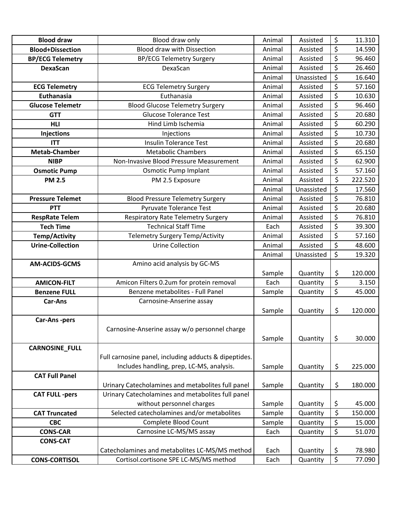| <b>Blood draw</b>       | Blood draw only                                       | Animal | Assisted   | \$                              | 11.310  |
|-------------------------|-------------------------------------------------------|--------|------------|---------------------------------|---------|
| <b>Blood+Dissection</b> | <b>Blood draw with Dissection</b>                     | Animal | Assisted   | $\overline{\xi}$                | 14.590  |
| <b>BP/ECG Telemetry</b> | <b>BP/ECG Telemetry Surgery</b>                       | Animal | Assisted   | $\overline{\boldsymbol{\zeta}}$ | 96.460  |
| <b>DexaScan</b>         | DexaScan                                              | Animal | Assisted   | \$                              | 26.460  |
|                         |                                                       | Animal | Unassisted | \$                              | 16.640  |
| <b>ECG Telemetry</b>    | <b>ECG Telemetry Surgery</b>                          | Animal | Assisted   | $\overline{\boldsymbol{\zeta}}$ | 57.160  |
| Euthanasia              | Euthanasia                                            | Animal | Assisted   | \$                              | 10.630  |
| <b>Glucose Telemetr</b> | <b>Blood Glucose Telemetry Surgery</b>                | Animal | Assisted   | \$                              | 96.460  |
| <b>GTT</b>              | <b>Glucose Tolerance Test</b>                         | Animal | Assisted   | $\overline{\boldsymbol{\zeta}}$ | 20.680  |
| <b>HLI</b>              | Hind Limb Ischemia                                    | Animal | Assisted   | \$                              | 60.290  |
| <b>Injections</b>       | Injections                                            | Animal | Assisted   | \$                              | 10.730  |
| <b>ITT</b>              | <b>Insulin Tolerance Test</b>                         | Animal | Assisted   | \$                              | 20.680  |
| <b>Metab-Chamber</b>    | <b>Metabolic Chambers</b>                             | Animal | Assisted   | \$                              | 65.150  |
| <b>NIBP</b>             | Non-Invasive Blood Pressure Measurement               | Animal | Assisted   | \$                              | 62.900  |
| <b>Osmotic Pump</b>     | <b>Osmotic Pump Implant</b>                           | Animal | Assisted   | \$                              | 57.160  |
| <b>PM 2.5</b>           | PM 2.5 Exposure                                       | Animal | Assisted   | \$                              | 222.520 |
|                         |                                                       | Animal | Unassisted | \$                              | 17.560  |
| <b>Pressure Telemet</b> | <b>Blood Pressure Telemetry Surgery</b>               | Animal | Assisted   | \$                              | 76.810  |
| <b>PTT</b>              | Pyruvate Tolerance Test                               | Animal | Assisted   | \$                              | 20.680  |
| <b>RespRate Telem</b>   | <b>Respiratory Rate Telemetry Surgery</b>             | Animal | Assisted   | $\overline{\xi}$                | 76.810  |
| <b>Tech Time</b>        | <b>Technical Staff Time</b>                           | Each   | Assisted   | \$                              | 39.300  |
| <b>Temp/Activity</b>    | Telemetry Surgery Temp/Activity                       | Animal | Assisted   | \$                              | 57.160  |
| <b>Urine-Collection</b> | <b>Urine Collection</b>                               | Animal | Assisted   | $\overline{\boldsymbol{\zeta}}$ | 48.600  |
|                         |                                                       | Animal | Unassisted | \$                              | 19.320  |
| <b>AM-ACIDS-GCMS</b>    | Amino acid analysis by GC-MS                          |        |            |                                 |         |
|                         |                                                       | Sample | Quantity   | \$                              | 120.000 |
| <b>AMICON-FILT</b>      | Amicon Filters 0.2um for protein removal              | Each   | Quantity   | \$                              | 3.150   |
| <b>Benzene FULL</b>     | Benzene metabolites - Full Panel                      | Sample | Quantity   | \$                              | 45.000  |
| <b>Car-Ans</b>          | Carnosine-Anserine assay                              |        |            |                                 |         |
|                         |                                                       | Sample | Quantity   | \$                              | 120.000 |
| Car-Ans-pers            |                                                       |        |            |                                 |         |
|                         | Carnosine-Anserine assay w/o personnel charge         |        |            |                                 |         |
|                         |                                                       | Sample | Quantity   | \$                              | 30.000  |
| <b>CARNOSINE_FULL</b>   |                                                       |        |            |                                 |         |
|                         | Full carnosine panel, including adducts & dipeptides. |        |            |                                 |         |
|                         | Includes handling, prep, LC-MS, analysis.             | Sample | Quantity   | \$                              | 225.000 |
| <b>CAT Full Panel</b>   |                                                       |        |            |                                 |         |
|                         | Urinary Catecholamines and metabolites full panel     | Sample | Quantity   | \$                              | 180.000 |
| <b>CAT FULL -pers</b>   | Urinary Catecholamines and metabolites full panel     |        |            |                                 |         |
|                         | without personnel charges                             | Sample | Quantity   | \$                              | 45.000  |
| <b>CAT Truncated</b>    | Selected catecholamines and/or metabolites            | Sample | Quantity   | \$                              | 150.000 |
| <b>CBC</b>              | Complete Blood Count                                  | Sample | Quantity   | \$                              | 15.000  |
| <b>CONS-CAR</b>         | Carnosine LC-MS/MS assay                              | Each   | Quantity   | $\overline{\xi}$                | 51.070  |
| <b>CONS-CAT</b>         |                                                       |        |            |                                 |         |
|                         | Catecholamines and metabolites LC-MS/MS method        | Each   | Quantity   | \$                              | 78.980  |
| <b>CONS-CORTISOL</b>    | Cortisol.cortisone SPE LC-MS/MS method                | Each   | Quantity   | $\overline{\xi}$                | 77.090  |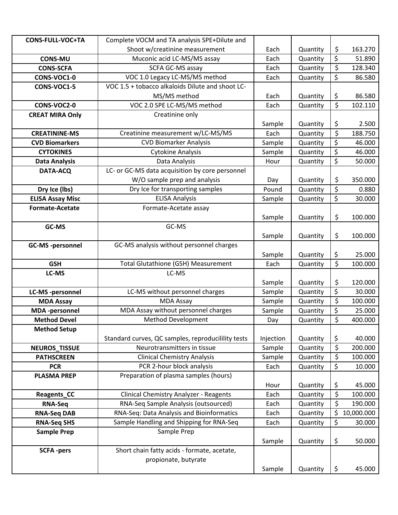| <b>CONS-FULL-VOC+TA</b> | Complete VOCM and TA analysis SPE+Dilute and        |                  |          |                          |            |
|-------------------------|-----------------------------------------------------|------------------|----------|--------------------------|------------|
|                         | Shoot w/creatinine measurement                      | Each             | Quantity | \$                       | 163.270    |
| <b>CONS-MU</b>          | Muconic acid LC-MS/MS assay                         | Each             | Quantity | \$                       | 51.890     |
| <b>CONS-SCFA</b>        | SCFA GC-MS assay                                    | Each             | Quantity | \$                       | 128.340    |
| CONS-VOC1-0             | VOC 1.0 Legacy LC-MS/MS method                      | Each             | Quantity | \$                       | 86.580     |
| CONS-VOC1-5             | VOC 1.5 + tobacco alkaloids Dilute and shoot LC-    |                  |          |                          |            |
|                         | MS/MS method                                        | Each             | Quantity | \$                       | 86.580     |
| CONS-VOC2-0             | VOC 2.0 SPE LC-MS/MS method                         | Each             | Quantity | \$                       | 102.110    |
| <b>CREAT MIRA Only</b>  | Creatinine only                                     |                  |          |                          |            |
|                         |                                                     | Sample           | Quantity | \$                       | 2.500      |
| <b>CREATININE-MS</b>    | Creatinine measurement w/LC-MS/MS                   | Each             | Quantity | $\overline{\xi}$         | 188.750    |
| <b>CVD Biomarkers</b>   | <b>CVD Biomarker Analysis</b>                       | Sample           | Quantity | \$                       | 46.000     |
| <b>CYTOKINES</b>        | <b>Cytokine Analysis</b>                            | Sample           | Quantity | \$                       | 46.000     |
| <b>Data Analysis</b>    | Data Analysis                                       | Hour             | Quantity | $\overline{\xi}$         | 50.000     |
| DATA-ACQ                | LC- or GC-MS data acquisition by core personnel     |                  |          |                          |            |
|                         | W/O sample prep and analysis                        | Day              | Quantity | \$                       | 350.000    |
| Dry Ice (lbs)           | Dry Ice for transporting samples                    | Pound            | Quantity | \$                       | 0.880      |
| <b>ELISA Assay Misc</b> | <b>ELISA Analysis</b>                               | Sample           | Quantity | \$                       | 30.000     |
| <b>Formate-Acetate</b>  | Formate-Acetate assay                               |                  |          |                          |            |
|                         |                                                     | Sample           | Quantity | \$                       | 100.000    |
| GC-MS                   | GC-MS                                               |                  |          |                          |            |
|                         |                                                     | Sample           | Quantity | \$                       | 100.000    |
| <b>GC-MS-personnel</b>  | GC-MS analysis without personnel charges            |                  |          |                          |            |
|                         |                                                     | Sample           | Quantity | \$                       | 25.000     |
| <b>GSH</b>              | <b>Total Glutathione (GSH) Measurement</b><br>LC-MS | Each             | Quantity | \$                       | 100.000    |
| LC-MS                   |                                                     |                  | Quantity |                          | 120.000    |
| <b>LC-MS-personnel</b>  | LC-MS without personnel charges                     | Sample<br>Sample | Quantity | \$<br>\$                 | 30.000     |
| <b>MDA Assay</b>        | <b>MDA Assay</b>                                    | Sample           | Quantity | \$                       | 100.000    |
| <b>MDA</b> -personnel   | MDA Assay without personnel charges                 | Sample           | Quantity | \$                       | 25.000     |
| <b>Method Devel</b>     | Method Development                                  | Day              | Quantity | $\overline{\xi}$         | 400.000    |
| <b>Method Setup</b>     |                                                     |                  |          |                          |            |
|                         | Standard curves, QC samples, reproducilility tests  | Injection        | Quantity | \$                       | 40.000     |
| <b>NEUROS_TISSUE</b>    | Neurotransmitters in tissue                         | Sample           | Quantity | \$                       | 200.000    |
| <b>PATHSCREEN</b>       | <b>Clinical Chemistry Analysis</b>                  | Sample           | Quantity | $\overline{\mathcal{S}}$ | 100.000    |
| <b>PCR</b>              | PCR 2-hour block analysis                           | Each             | Quantity | \$                       | 10.000     |
| <b>PLASMA PREP</b>      | Preparation of plasma samples (hours)               |                  |          |                          |            |
|                         |                                                     | Hour             | Quantity | \$                       | 45.000     |
| Reagents CC             | <b>Clinical Chemistry Analyzer - Reagents</b>       | Each             | Quantity | \$                       | 100.000    |
| <b>RNA-Seq</b>          | RNA-Seq Sample Analysis (outsourced)                | Each             | Quantity | $\overline{\mathcal{S}}$ | 190.000    |
| <b>RNA-Seq DAB</b>      | RNA-Seq: Data Analysis and Bioinformatics           | Each             | Quantity | \$                       | 10,000.000 |
| <b>RNA-Seq SHS</b>      | Sample Handling and Shipping for RNA-Seq            | Each             | Quantity | \$                       | 30.000     |
| <b>Sample Prep</b>      | Sample Prep                                         |                  |          |                          |            |
|                         |                                                     | Sample           | Quantity | \$                       | 50.000     |
| <b>SCFA-pers</b>        | Short chain fatty acids - formate, acetate,         |                  |          |                          |            |
|                         | propionate, butyrate                                |                  |          |                          |            |
|                         |                                                     | Sample           | Quantity | \$                       | 45.000     |